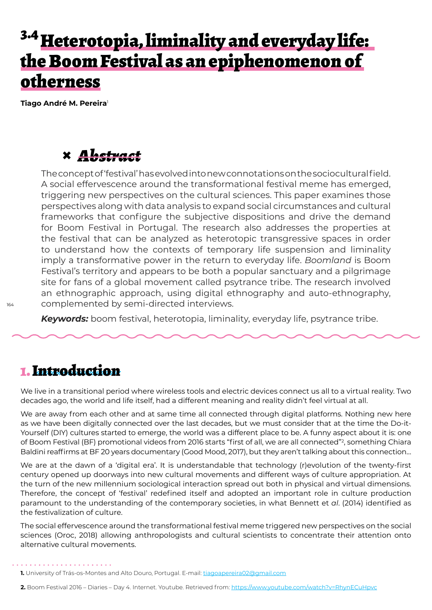# <sup>3.4</sup> Heterotopia, liminality and everyday life: the Boom Festival as an epiphenomenon of otherness

**Tiago André M. Pereira**<sup>1</sup>

### **×** *Abstract*

The concept of 'festival' has evolved into new connotations on the sociocultural field. A social effervescence around the transformational festival meme has emerged, triggering new perspectives on the cultural sciences. This paper examines those perspectives along with data analysis to expand social circumstances and cultural frameworks that configure the subjective dispositions and drive the demand for Boom Festival in Portugal. The research also addresses the properties at the festival that can be analyzed as heterotopic transgressive spaces in order to understand how the contexts of temporary life suspension and liminality imply a transformative power in the return to everyday life. *Boomland* is Boom Festival's territory and appears to be both a popular sanctuary and a pilgrimage site for fans of a global movement called psytrance tribe. The research involved an ethnographic approach, using digital ethnography and auto-ethnography, complemented by semi-directed interviews.

*Keywords:* boom festival, heterotopia, liminality, everyday life, psytrance tribe.

#### 1. Introduction

We live in a transitional period where wireless tools and electric devices connect us all to a virtual reality. Two decades ago, the world and life itself, had a different meaning and reality didn't feel virtual at all.

We are away from each other and at same time all connected through digital platforms. Nothing new here as we have been digitally connected over the last decades, but we must consider that at the time the Do-it-Yourself (DIY) cultures started to emerge, the world was a different place to be. A funny aspect about it is: one of Boom Festival (BF) promotional videos from 2016 starts "first of all, we are all connected"<sup>2</sup> , something Chiara Baldini reaffirms at BF 20 years documentary (Good Mood, 2017), but they aren't talking about this connection…

We are at the dawn of a 'digital era'. It is understandable that technology (r)evolution of the twenty-first century opened up doorways into new cultural movements and different ways of culture appropriation. At the turn of the new millennium sociological interaction spread out both in physical and virtual dimensions. Therefore, the concept of 'festival' redefined itself and adopted an important role in culture production paramount to the understanding of the contemporary societies, in what Bennett et *al*. (2014) identified as the festivalization of culture.

The social effervescence around the transformational festival meme triggered new perspectives on the social sciences (Oroc, 2018) allowing anthropologists and cultural scientists to concentrate their attention onto alternative cultural movements.

**2.** Boom Festival 2016 – Diaries – Day 4. Internet. Youtube. Retrieved from: <https://www.youtube.com/watch?v=RhynECuHpvc>

<sup>1.</sup> University of Trás-os-Montes and Alto Douro, Portugal. E-mail: tiagoapereira02@gmail.com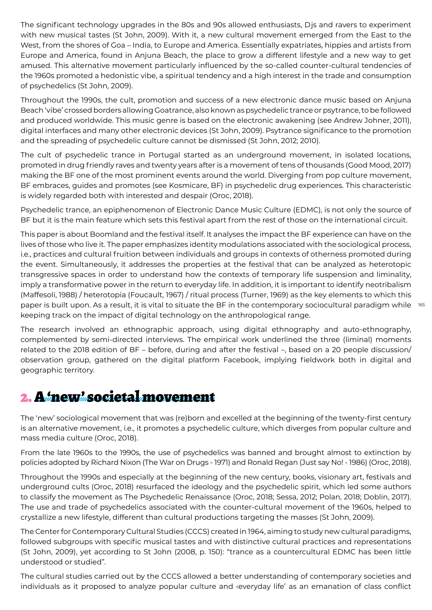The significant technology upgrades in the 80s and 90s allowed enthusiasts, Djs and ravers to experiment with new musical tastes (St John, 2009). With it, a new cultural movement emerged from the East to the West, from the shores of Goa – India, to Europe and America. Essentially expatriates, hippies and artists from Europe and America, found in Anjuna Beach, the place to grow a different lifestyle and a new way to get amused. This alternative movement particularly influenced by the so-called counter-cultural tendencies of the 1960s promoted a hedonistic vibe, a spiritual tendency and a high interest in the trade and consumption of psychedelics (St John, 2009).

Throughout the 1990s, the cult, promotion and success of a new electronic dance music based on Anjuna Beach 'vibe' crossed borders allowing Goatrance, also known as psychedelic trance or psytrance, to be followed and produced worldwide. This music genre is based on the electronic awakening (see Andrew Johner, 2011), digital interfaces and many other electronic devices (St John, 2009). Psytrance significance to the promotion and the spreading of psychedelic culture cannot be dismissed (St John, 2012; 2010).

The cult of psychedelic trance in Portugal started as an underground movement, in isolated locations, promoted in drug friendly raves and twenty years after is a movement of tens of thousands (Good Mood, 2017) making the BF one of the most prominent events around the world. Diverging from pop culture movement, BF embraces, guides and promotes (see Kosmicare, BF) in psychedelic drug experiences. This characteristic is widely regarded both with interested and despair (Oroc, 2018).

Psychedelic trance, an epiphenomenon of Electronic Dance Music Culture (EDMC), is not only the source of BF but it is the main feature which sets this festival apart from the rest of those on the international circuit.

paper is built upon. As a result, it is vital to situate the BF in the contemporary sociocultural paradigm while  $165$ This paper is about Boomland and the festival itself. It analyses the impact the BF experience can have on the lives of those who live it. The paper emphasizes identity modulations associated with the sociological process, i.e., practices and cultural fruition between individuals and groups in contexts of otherness promoted during the event. Simultaneously, it addresses the properties at the festival that can be analyzed as heterotopic transgressive spaces in order to understand how the contexts of temporary life suspension and liminality, imply a transformative power in the return to everyday life. In addition, it is important to identify neotribalism (Maffesoli, 1988) / heterotopia (Foucault, 1967) / ritual process (Turner, 1969) as the key elements to which this keeping track on the impact of digital technology on the anthropological range.

The research involved an ethnographic approach, using digital ethnography and auto-ethnography, complemented by semi-directed interviews. The empirical work underlined the three (liminal) moments related to the 2018 edition of BF – before, during and after the festival –, based on a 20 people discussion/ observation group, gathered on the digital platform Facebook, implying fieldwork both in digital and geographic territory.

#### 2. A 'new' societal movement

The 'new' sociological movement that was (re)born and excelled at the beginning of the twenty-first century is an alternative movement, i.e., it promotes a psychedelic culture, which diverges from popular culture and mass media culture (Oroc, 2018).

From the late 1960s to the 1990s, the use of psychedelics was banned and brought almost to extinction by policies adopted by Richard Nixon (The War on Drugs - 1971) and Ronald Regan (Just say No! - 1986) (Oroc, 2018).

Throughout the 1990s and especially at the beginning of the new century, books, visionary art, festivals and underground cults (Oroc, 2018) resurfaced the ideology and the psychedelic spirit, which led some authors to classify the movement as The Psychedelic Renaissance (Oroc, 2018; Sessa, 2012; Polan, 2018; Doblin, 2017). The use and trade of psychedelics associated with the counter-cultural movement of the 1960s, helped to crystallize a new lifestyle, different than cultural productions targeting the masses (St John, 2009).

The Center for Contemporary Cultural Studies (CCCS) created in 1964, aiming to study new cultural paradigms, followed subgroups with specific musical tastes and with distinctive cultural practices and representations (St John, 2009), yet according to St John (2008, p. 150): "trance as a countercultural EDMC has been little understood or studied".

The cultural studies carried out by the CCCS allowed a better understanding of contemporary societies and individuals as it proposed to analyze popular culture and ‹everyday life' as an emanation of class conflict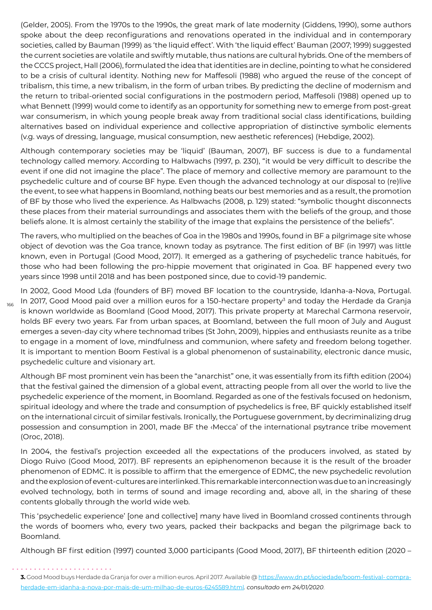(Gelder, 2005). From the 1970s to the 1990s, the great mark of late modernity (Giddens, 1990), some authors spoke about the deep reconfigurations and renovations operated in the individual and in contemporary societies, called by Bauman (1999) as 'the liquid effect'. With 'the liquid effect' Bauman (2007; 1999) suggested the current societies are volatile and swiftly mutable, thus nations are cultural hybrids. One of the members of the CCCS project, Hall (2006), formulated the idea that identities are in decline, pointing to what he considered to be a crisis of cultural identity. Nothing new for Maffesoli (1988) who argued the reuse of the concept of tribalism, this time, a new tribalism, in the form of urban tribes. By predicting the decline of modernism and the return to tribal-oriented social configurations in the postmodern period, Maffesoli (1988) opened up to what Bennett (1999) would come to identify as an opportunity for something new to emerge from post-great war consumerism, in which young people break away from traditional social class identifications, building alternatives based on individual experience and collective appropriation of distinctive symbolic elements (v.g. ways of dressing, language, musical consumption, new aesthetic references) (Hebdige, 2002).

Although contemporary societies may be 'liquid' (Bauman, 2007), BF success is due to a fundamental technology called memory. According to Halbwachs (1997, p. 230), "it would be very difficult to describe the event if one did not imagine the place". The place of memory and collective memory are paramount to the psychedelic culture and of course BF hype. Even though the advanced technology at our disposal to (re)live the event, to see what happens in Boomland, nothing beats our best memories and as a result, the promotion of BF by those who lived the experience. As Halbwachs (2008, p. 129) stated: "symbolic thought disconnects these places from their material surroundings and associates them with the beliefs of the group, and those beliefs alone. It is almost certainly the stability of the image that explains the persistence of the beliefs".

The ravers, who multiplied on the beaches of Goa in the 1980s and 1990s, found in BF a pilgrimage site whose object of devotion was the Goa trance, known today as psytrance. The first edition of BF (in 1997) was little known, even in Portugal (Good Mood, 2017). It emerged as a gathering of psychedelic trance habitués, for those who had been following the pro-hippie movement that originated in Goa. BF happened every two years since 1998 until 2018 and has been postponed since, due to covid-19 pandemic.

In 2002, Good Mood Lda (founders of BF) moved BF location to the countryside, Idanha-a-Nova, Portugal. In 2017, Good Mood paid over a million euros for a 150-hectare property<sup>3</sup> and today the Herdade da Granja is known worldwide as Boomland (Good Mood, 2017). This private property at Marechal Carmona reservoir, holds BF every two years. Far from urban spaces, at Boomland, between the full moon of July and August emerges a seven-day city where technomad tribes (St John, 2009), hippies and enthusiasts reunite as a tribe to engage in a moment of love, mindfulness and communion, where safety and freedom belong together. It is important to mention Boom Festival is a global phenomenon of sustainability, electronic dance music, psychedelic culture and visionary art.

166

Although BF most prominent vein has been the "anarchist" one, it was essentially from its fifth edition (2004) that the festival gained the dimension of a global event, attracting people from all over the world to live the psychedelic experience of the moment, in Boomland. Regarded as one of the festivals focused on hedonism, spiritual ideology and where the trade and consumption of psychedelics is free, BF quickly established itself on the international circuit of similar festivals. Ironically, the Portuguese government, by decriminalizing drug possession and consumption in 2001, made BF the ‹Mecca' of the international psytrance tribe movement (Oroc, 2018).

In 2004, the festival's projection exceeded all the expectations of the producers involved, as stated by Diogo Ruivo (Good Mood, 2017). BF represents an epiphenomenon because it is the result of the broader phenomenon of EDMC. It is possible to affirm that the emergence of EDMC, the new psychedelic revolution and the explosion of event-cultures are interlinked. This remarkable interconnection was due to an increasingly evolved technology, both in terms of sound and image recording and, above all, in the sharing of these contents globally through the world wide web.

This 'psychedelic experience' [one and collective] many have lived in Boomland crossed continents through the words of boomers who, every two years, packed their backpacks and began the pilgrimage back to Boomland.

Although BF first edition (1997) counted 3,000 participants (Good Mood, 2017), BF thirteenth edition (2020 –

<sup>3.</sup> Good Mood buys Herdade da Granja for over a million euros. April 2017. Available @ https://www.dn.pt/sociedade/boom-festival- compraherdade-em-idanha-a-nova-por-mais-de-um-milhao-de-euros-6245589.html*. consultado em 24/01/2020*.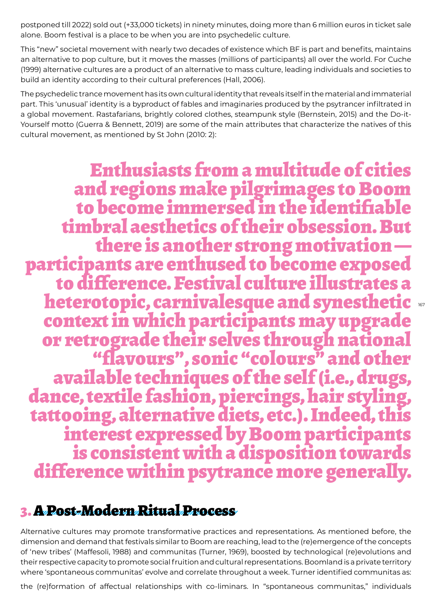postponed till 2022) sold out (+33,000 tickets) in ninety minutes, doing more than 6 million euros in ticket sale alone. Boom festival is a place to be when you are into psychedelic culture.

This "new" societal movement with nearly two decades of existence which BF is part and benefits, maintains an alternative to pop culture, but it moves the masses (millions of participants) all over the world. For Cuche (1999) alternative cultures are a product of an alternative to mass culture, leading individuals and societies to build an identity according to their cultural preferences (Hall, 2006).

The psychedelic trance movement has its own cultural identity that reveals itself in the material and immaterial part. This 'unusual' identity is a byproduct of fables and imaginaries produced by the psytrancer infiltrated in a global movement. Rastafarians, brightly colored clothes, steampunk style (Bernstein, 2015) and the Do-it-Yourself motto (Guerra & Bennett, 2019) are some of the main attributes that characterize the natives of this cultural movement, as mentioned by St John (2010: 2):

Enthusiasts from a multitude of cities and regions make pilgrimages to Boom to become immersed in the identifiable timbral aesthetics of their obsession. But participants are enthused to become exposed<br>to difference. Festival culture illustrates a heterotopic, carnivalesque and synesthetic context in which participants may upgrade "flavours", sonic "colours" and other<br>available techniques of the self (i.e., drugs, dance, textile fashion, piercings, hair styling,<br>tattooing, alternative diets, etc.). Indeed, this interest expressed by Boom participants<br>is consistent with a disposition towards difference within psytrance more generally.

167

## 3. A Post-Modern Ritual Process

Alternative cultures may promote transformative practices and representations. As mentioned before, the dimension and demand that festivals similar to Boom are reaching, lead to the (re)emergence of the concepts of 'new tribes' (Maffesoli, 1988) and communitas (Turner, 1969), boosted by technological (re)evolutions and their respective capacity to promote social fruition and cultural representations. Boomland is a private territory where 'spontaneous communitas' evolve and correlate throughout a week. Turner identified communitas as:

the (re)formation of affectual relationships with co-liminars. In "spontaneous communitas," individuals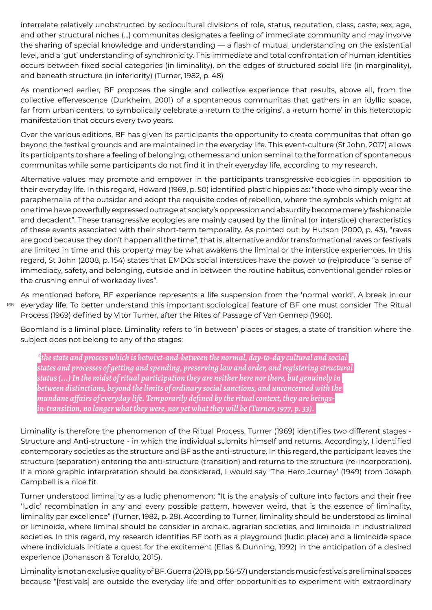interrelate relatively unobstructed by sociocultural divisions of role, status, reputation, class, caste, sex, age, and other structural niches (...) communitas designates a feeling of immediate community and may involve the sharing of special knowledge and understanding — a flash of mutual understanding on the existential level, and a 'gut' understanding of synchronicity. This immediate and total confrontation of human identities occurs between fixed social categories (in liminality), on the edges of structured social life (in marginality), and beneath structure (in inferiority) (Turner, 1982, p. 48)

As mentioned earlier, BF proposes the single and collective experience that results, above all, from the collective effervescence (Durkheim, 2001) of a spontaneous communitas that gathers in an idyllic space, far from urban centers, to symbolically celebrate a ‹return to the origins', a ‹return home' in this heterotopic manifestation that occurs every two years.

Over the various editions, BF has given its participants the opportunity to create communitas that often go beyond the festival grounds and are maintained in the everyday life. This event-culture (St John, 2017) allows its participants to share a feeling of belonging, otherness and union seminal to the formation of spontaneous communitas while some participants do not find it in their everyday life, according to my research.

Alternative values may promote and empower in the participants transgressive ecologies in opposition to their everyday life. In this regard, Howard (1969, p. 50) identified plastic hippies as: "those who simply wear the paraphernalia of the outsider and adopt the requisite codes of rebellion, where the symbols which might at one time have powerfully expressed outrage at society's oppression and absurdity become merely fashionable and decadent". These transgressive ecologies are mainly caused by the liminal (or interstice) characteristics of these events associated with their short-term temporality. As pointed out by Hutson (2000, p. 43), "raves are good because they don't happen all the time", that is, alternative and/or transformational raves or festivals are limited in time and this property may be what awakens the liminal or the interstice experiences. In this regard, St John (2008, p. 154) states that EMDCs social interstices have the power to (re)produce "a sense of immediacy, safety, and belonging, outside and in between the routine habitus, conventional gender roles or the crushing ennui of workaday lives".

168 As mentioned before, BF experience represents a life suspension from the 'normal world'. A break in our everyday life. To better understand this important sociological feature of BF one must consider The Ritual Process (1969) defined by Vitor Turner, after the Rites of Passage of Van Gennep (1960).

Boomland is a liminal place. Liminality refers to 'in between' places or stages, a state of transition where the subject does not belong to any of the stages:

*\*the state and process which is betwixt-and-between the normal, day-to-day cultural and social states and processes of getting and spending, preserving law and order, and registering structural status (...) In the midst of ritual participation they are neither here nor there, but genuinely in between distinctions, beyond the limits of ordinary social sanctions, and unconcerned with the mundane affairs of everyday life. Temporarily defined by the ritual context, they are beingsin-transition, no longer what they were, nor yet what they will be (Turner, 1977, p. 33).* 

Liminality is therefore the phenomenon of the Ritual Process. Turner (1969) identifies two different stages - Structure and Anti-structure - in which the individual submits himself and returns. Accordingly, I identified contemporary societies as the structure and BF as the anti-structure. In this regard, the participant leaves the structure (separation) entering the anti-structure (transition) and returns to the structure (re-incorporation). If a more graphic interpretation should be considered, I would say 'The Hero Journey' (1949) from Joseph Campbell is a nice fit.

Turner understood liminality as a ludic phenomenon: "It is the analysis of culture into factors and their free 'ludic' recombination in any and every possible pattern, however weird, that is the essence of liminality, liminality par excellence" (Turner, 1982, p. 28). According to Turner, liminality should be understood as liminal or liminoide, where liminal should be consider in archaic, agrarian societies, and liminoide in industrialized societies. In this regard, my research identifies BF both as a playground (ludic place) and a liminoide space where individuals initiate a quest for the excitement (Elias & Dunning, 1992) in the anticipation of a desired experience (Johansson & Toraldo, 2015).

Liminality is not an exclusive quality of BF. Guerra (2019, pp. 56-57) understands music festivals are liminal spaces because "[festivals] are outside the everyday life and offer opportunities to experiment with extraordinary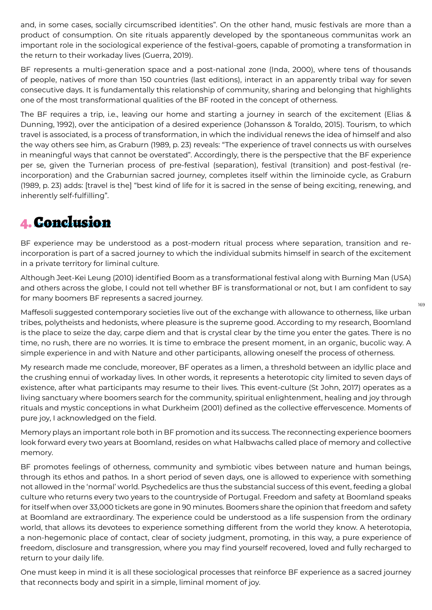and, in some cases, socially circumscribed identities". On the other hand, music festivals are more than a product of consumption. On site rituals apparently developed by the spontaneous communitas work an important role in the sociological experience of the festival-goers, capable of promoting a transformation in the return to their workaday lives (Guerra, 2019).

BF represents a multi-generation space and a post-national zone (Inda, 2000), where tens of thousands of people, natives of more than 150 countries (last editions), interact in an apparently tribal way for seven consecutive days. It is fundamentally this relationship of community, sharing and belonging that highlights one of the most transformational qualities of the BF rooted in the concept of otherness.

The BF requires a trip, i.e., leaving our home and starting a journey in search of the excitement (Elias & Dunning, 1992), over the anticipation of a desired experience (Johansson & Toraldo, 2015). Tourism, to which travel is associated, is a process of transformation, in which the individual renews the idea of himself and also the way others see him, as Graburn (1989, p. 23) reveals: "The experience of travel connects us with ourselves in meaningful ways that cannot be overstated". Accordingly, there is the perspective that the BF experience per se, given the Turnerian process of pre-festival (separation), festival (transition) and post-festival (reincorporation) and the Graburnian sacred journey, completes itself within the liminoide cycle, as Graburn (1989, p. 23) adds: [travel is the] "best kind of life for it is sacred in the sense of being exciting, renewing, and inherently self-fulfilling".

### 4. Conclusion

BF experience may be understood as a post-modern ritual process where separation, transition and reincorporation is part of a sacred journey to which the individual submits himself in search of the excitement in a private territory for liminal culture.

Although Jeet-Kei Leung (2010) identified Boom as a transformational festival along with Burning Man (USA) and others across the globe, I could not tell whether BF is transformational or not, but I am confident to say for many boomers BF represents a sacred journey.

Maffesoli suggested contemporary societies live out of the exchange with allowance to otherness, like urban tribes, polytheists and hedonists, where pleasure is the supreme good. According to my research, Boomland is the place to seize the day, carpe diem and that is crystal clear by the time you enter the gates. There is no time, no rush, there are no worries. It is time to embrace the present moment, in an organic, bucolic way. A simple experience in and with Nature and other participants, allowing oneself the process of otherness.

My research made me conclude, moreover, BF operates as a limen, a threshold between an idyllic place and the crushing ennui of workaday lives. In other words, it represents a heterotopic city limited to seven days of existence, after what participants may resume to their lives. This event-culture (St John, 2017) operates as a living sanctuary where boomers search for the community, spiritual enlightenment, healing and joy through rituals and mystic conceptions in what Durkheim (2001) defined as the collective effervescence. Moments of pure joy, I acknowledged on the field.

Memory plays an important role both in BF promotion and its success. The reconnecting experience boomers look forward every two years at Boomland, resides on what Halbwachs called place of memory and collective memory.

BF promotes feelings of otherness, community and symbiotic vibes between nature and human beings, through its ethos and pathos. In a short period of seven days, one is allowed to experience with something not allowed in the 'normal' world. Psychedelics are thus the substancial success of this event, feeding a global culture who returns every two years to the countryside of Portugal. Freedom and safety at Boomland speaks for itself when over 33,000 tickets are gone in 90 minutes. Boomers share the opinion that freedom and safety at Boomland are extraordinary. The experience could be understood as a life suspension from the ordinary world, that allows its devotees to experience something different from the world they know. A heterotopia, a non-hegemonic place of contact, clear of society judgment, promoting, in this way, a pure experience of freedom, disclosure and transgression, where you may find yourself recovered, loved and fully recharged to return to your daily life.

One must keep in mind it is all these sociological processes that reinforce BF experience as a sacred journey that reconnects body and spirit in a simple, liminal moment of joy.